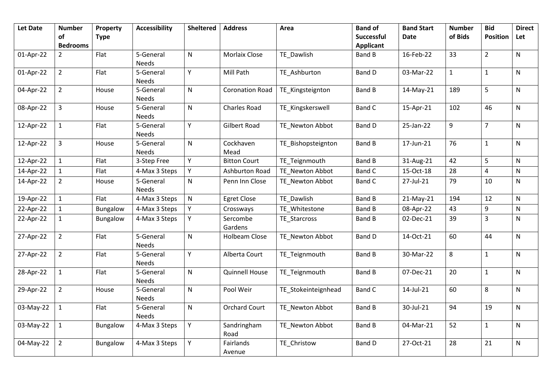| <b>Let Date</b> | <b>Number</b>         | Property        | <b>Accessibility</b>      | <b>Sheltered</b> | <b>Address</b>         | Area                | <b>Band of</b>                        | <b>Band Start</b> | <b>Number</b> | <b>Bid</b>      | <b>Direct</b> |
|-----------------|-----------------------|-----------------|---------------------------|------------------|------------------------|---------------------|---------------------------------------|-------------------|---------------|-----------------|---------------|
|                 | οf<br><b>Bedrooms</b> | <b>Type</b>     |                           |                  |                        |                     | <b>Successful</b><br><b>Applicant</b> | <b>Date</b>       | of Bids       | <b>Position</b> | Let           |
| 01-Apr-22       | $\overline{2}$        | Flat            | 5-General<br><b>Needs</b> | N                | Morlaix Close          | TE_Dawlish          | Band B                                | 16-Feb-22         | 33            | $\overline{2}$  | ${\sf N}$     |
| 01-Apr-22       | $\overline{2}$        | Flat            | 5-General<br><b>Needs</b> | Y                | Mill Path              | TE_Ashburton        | Band D                                | 03-Mar-22         | $\mathbf{1}$  | $\mathbf{1}$    | ${\sf N}$     |
| 04-Apr-22       | $\overline{2}$        | House           | 5-General<br><b>Needs</b> | N                | <b>Coronation Road</b> | TE_Kingsteignton    | <b>Band B</b>                         | 14-May-21         | 189           | 5               | ${\sf N}$     |
| 08-Apr-22       | $\overline{3}$        | House           | 5-General<br>Needs        | N                | Charles Road           | TE_Kingskerswell    | Band C                                | 15-Apr-21         | 102           | 46              | ${\sf N}$     |
| 12-Apr-22       | $\mathbf{1}$          | Flat            | 5-General<br><b>Needs</b> | Υ                | <b>Gilbert Road</b>    | TE_Newton Abbot     | Band D                                | 25-Jan-22         | 9             | $\overline{7}$  | $\mathsf{N}$  |
| 12-Apr-22       | $\overline{3}$        | House           | 5-General<br>Needs        | N                | Cockhaven<br>Mead      | TE_Bishopsteignton  | <b>Band B</b>                         | 17-Jun-21         | 76            | $\mathbf{1}$    | ${\sf N}$     |
| 12-Apr-22       | $\mathbf{1}$          | Flat            | 3-Step Free               | Y                | <b>Bitton Court</b>    | TE_Teignmouth       | <b>Band B</b>                         | 31-Aug-21         | 42            | 5               | N             |
| 14-Apr-22       | $\mathbf{1}$          | Flat            | 4-Max 3 Steps             | Y                | Ashburton Road         | TE_Newton Abbot     | <b>Band C</b>                         | 15-Oct-18         | 28            | 4               | N             |
| 14-Apr-22       | $\overline{2}$        | House           | 5-General<br><b>Needs</b> | N                | Penn Inn Close         | TE Newton Abbot     | Band C                                | 27-Jul-21         | 79            | 10              | N             |
| 19-Apr-22       | $\mathbf{1}$          | Flat            | 4-Max 3 Steps             | N                | <b>Egret Close</b>     | TE Dawlish          | <b>Band B</b>                         | 21-May-21         | 194           | 12              | N             |
| 22-Apr-22       | $\mathbf{1}$          | Bungalow        | 4-Max 3 Steps             | Y                | Crossways              | TE Whitestone       | <b>Band B</b>                         | 08-Apr-22         | 43            | 9               | N             |
| 22-Apr-22       | $\mathbf{1}$          | <b>Bungalow</b> | 4-Max 3 Steps             | Υ                | Sercombe<br>Gardens    | TE Starcross        | Band B                                | 02-Dec-21         | 39            | 3               | ${\sf N}$     |
| 27-Apr-22       | $\overline{2}$        | Flat            | 5-General<br>Needs        | N                | <b>Holbeam Close</b>   | TE Newton Abbot     | Band D                                | 14-Oct-21         | 60            | 44              | N             |
| 27-Apr-22       | $\overline{2}$        | Flat            | 5-General<br><b>Needs</b> | Υ                | Alberta Court          | TE_Teignmouth       | <b>Band B</b>                         | 30-Mar-22         | $\,8\,$       | $\mathbf{1}$    | ${\sf N}$     |
| 28-Apr-22       | $\mathbf{1}$          | Flat            | 5-General<br>Needs        | N                | <b>Quinnell House</b>  | TE Teignmouth       | <b>Band B</b>                         | 07-Dec-21         | 20            | $\mathbf{1}$    | $\mathsf{N}$  |
| 29-Apr-22       | $\overline{2}$        | House           | 5-General<br><b>Needs</b> | N                | Pool Weir              | TE_Stokeinteignhead | <b>Band C</b>                         | 14-Jul-21         | 60            | 8               | $\mathsf{N}$  |
| 03-May-22       | $\mathbf{1}$          | Flat            | 5-General<br><b>Needs</b> | N                | <b>Orchard Court</b>   | TE_Newton Abbot     | <b>Band B</b>                         | 30-Jul-21         | 94            | 19              | $\mathsf{N}$  |
| 03-May-22       | $\mathbf{1}$          | Bungalow        | 4-Max 3 Steps             | Y                | Sandringham<br>Road    | TE Newton Abbot     | Band B                                | 04-Mar-21         | 52            | $\mathbf{1}$    | ${\sf N}$     |
| 04-May-22       | $\overline{2}$        | Bungalow        | 4-Max 3 Steps             | Y                | Fairlands<br>Avenue    | TE_Christow         | Band D                                | 27-Oct-21         | 28            | 21              | $\mathsf{N}$  |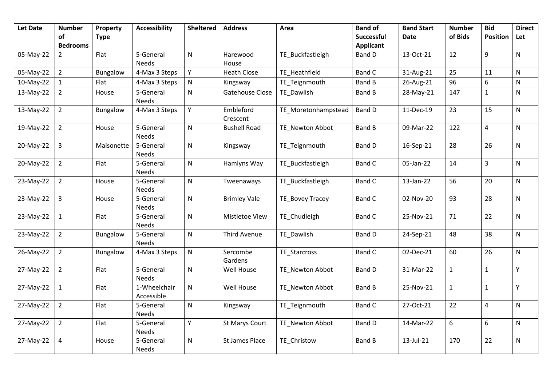| <b>Let Date</b> | <b>Number</b><br>οf | Property<br><b>Type</b> | <b>Accessibility</b>       | <b>Sheltered</b> | <b>Address</b>        | Area                | <b>Band of</b><br>Successful | <b>Band Start</b><br><b>Date</b> | <b>Number</b><br>of Bids | <b>Bid</b><br><b>Position</b> | <b>Direct</b><br>Let |
|-----------------|---------------------|-------------------------|----------------------------|------------------|-----------------------|---------------------|------------------------------|----------------------------------|--------------------------|-------------------------------|----------------------|
|                 | <b>Bedrooms</b>     |                         |                            |                  |                       |                     | <b>Applicant</b>             |                                  |                          |                               |                      |
| 05-May-22       | $\overline{2}$      | Flat                    | 5-General<br><b>Needs</b>  | N                | Harewood<br>House     | TE_Buckfastleigh    | Band D                       | 13-Oct-21                        | 12                       | 9                             | N                    |
| 05-May-22       | $\overline{2}$      | Bungalow                | 4-Max 3 Steps              | Υ                | <b>Heath Close</b>    | TE Heathfield       | Band C                       | 31-Aug-21                        | 25                       | 11                            | N                    |
| 10-May-22       | $\mathbf{1}$        | Flat                    | 4-Max 3 Steps              | N                | Kingsway              | TE Teignmouth       | <b>Band B</b>                | 26-Aug-21                        | 96                       | 6                             | N                    |
| 13-May-22       | $\overline{2}$      | House                   | 5-General<br><b>Needs</b>  | N                | Gatehouse Close       | TE_Dawlish          | Band B                       | 28-May-21                        | 147                      | $\mathbf 1$                   | N                    |
| 13-May-22       | $\overline{2}$      | Bungalow                | 4-Max 3 Steps              | Y                | Embleford<br>Crescent | TE_Moretonhampstead | <b>Band D</b>                | 11-Dec-19                        | 23                       | 15                            | N                    |
| 19-May-22       | $\overline{2}$      | House                   | 5-General<br><b>Needs</b>  | N                | <b>Bushell Road</b>   | TE Newton Abbot     | <b>Band B</b>                | 09-Mar-22                        | 122                      | $\overline{\mathbf{4}}$       | N                    |
| 20-May-22       | $\overline{3}$      | Maisonette              | 5-General<br><b>Needs</b>  | N                | Kingsway              | TE Teignmouth       | Band D                       | 16-Sep-21                        | 28                       | 26                            | N                    |
| 20-May-22       | $\overline{2}$      | Flat                    | 5-General<br><b>Needs</b>  | N                | Hamlyns Way           | TE Buckfastleigh    | <b>Band C</b>                | 05-Jan-22                        | 14                       | 3                             | N                    |
| 23-May-22       | $\overline{2}$      | House                   | 5-General<br><b>Needs</b>  | N                | Tweenaways            | TE Buckfastleigh    | <b>Band C</b>                | 13-Jan-22                        | 56                       | 20                            | N                    |
| 23-May-22       | $\overline{3}$      | House                   | 5-General<br>Needs         | N                | <b>Brimley Vale</b>   | TE Bovey Tracey     | <b>Band C</b>                | 02-Nov-20                        | 93                       | 28                            | N                    |
| 23-May-22       | $\mathbf{1}$        | Flat                    | 5-General<br>Needs         | N                | Mistletoe View        | TE Chudleigh        | <b>Band C</b>                | 25-Nov-21                        | 71                       | 22                            | N                    |
| 23-May-22       | $\overline{2}$      | <b>Bungalow</b>         | 5-General<br><b>Needs</b>  | N                | <b>Third Avenue</b>   | TE Dawlish          | <b>Band D</b>                | 24-Sep-21                        | 48                       | 38                            | N                    |
| 26-May-22       | $\overline{2}$      | Bungalow                | 4-Max 3 Steps              | N                | Sercombe<br>Gardens   | TE_Starcross        | <b>Band C</b>                | 02-Dec-21                        | 60                       | 26                            | N                    |
| 27-May-22       | $\overline{2}$      | Flat                    | 5-General<br><b>Needs</b>  | N                | Well House            | TE_Newton Abbot     | <b>Band D</b>                | 31-Mar-22                        | $\mathbf{1}$             | $\mathbf{1}$                  | Υ                    |
| 27-May-22       | $\mathbf{1}$        | Flat                    | 1-Wheelchair<br>Accessible | N                | Well House            | TE_Newton Abbot     | <b>Band B</b>                | 25-Nov-21                        | $\mathbf{1}$             | $\mathbf{1}$                  | Υ                    |
| 27-May-22       | $\overline{2}$      | Flat                    | 5-General<br>Needs         | N                | Kingsway              | TE_Teignmouth       | <b>Band C</b>                | 27-Oct-21                        | 22                       | $\overline{4}$                | N                    |
| 27-May-22       | $\overline{2}$      | Flat                    | 5-General<br>Needs         | Y                | <b>St Marys Court</b> | TE_Newton Abbot     | Band D                       | 14-Mar-22                        | 6                        | 6                             | N                    |
| 27-May-22       | $\overline{4}$      | House                   | 5-General<br>Needs         | N                | <b>St James Place</b> | TE_Christow         | <b>Band B</b>                | 13-Jul-21                        | 170                      | 22                            | N                    |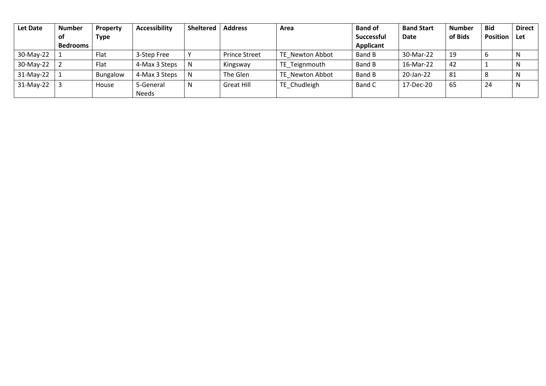| Let Date    | <b>Number</b> | <b>Property</b> | <b>Accessibility</b> | <b>Sheltered</b> | <b>Address</b>       | Area            | <b>Band of</b>    | <b>Band Start</b> | <b>Number</b> | <b>Bid</b>      | <b>Direct</b> |
|-------------|---------------|-----------------|----------------------|------------------|----------------------|-----------------|-------------------|-------------------|---------------|-----------------|---------------|
|             | 0f            | <b>Type</b>     |                      |                  |                      |                 | <b>Successful</b> | <b>Date</b>       | of Bids       | <b>Position</b> | Let           |
|             | Bedrooms      |                 |                      |                  |                      |                 | Applicant         |                   |               |                 |               |
| 30-May-22   |               | Flat            | 3-Step Free          |                  | <b>Prince Street</b> | TE Newton Abbot | Band B            | 30-Mar-22         | 19            |                 | N             |
| 30-May-22   |               | Flat            | 4-Max 3 Steps        | N                | Kingsway             | TE Teignmouth   | Band B            | 16-Mar-22         | 42            |                 | N             |
| $31-May-22$ |               | <b>Bungalow</b> | 4-Max 3 Steps        |                  | The Glen             | TE Newton Abbot | Band B            | 20-Jan-22         | 81            |                 | N             |
| $31-May-22$ |               | House           | 5-General            | N                | Great Hill           | TE Chudleigh    | Band C            | 17-Dec-20         | 65            | 24              | N             |
|             |               |                 | <b>Needs</b>         |                  |                      |                 |                   |                   |               |                 |               |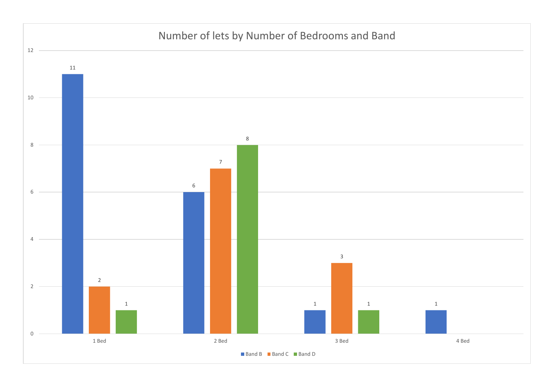